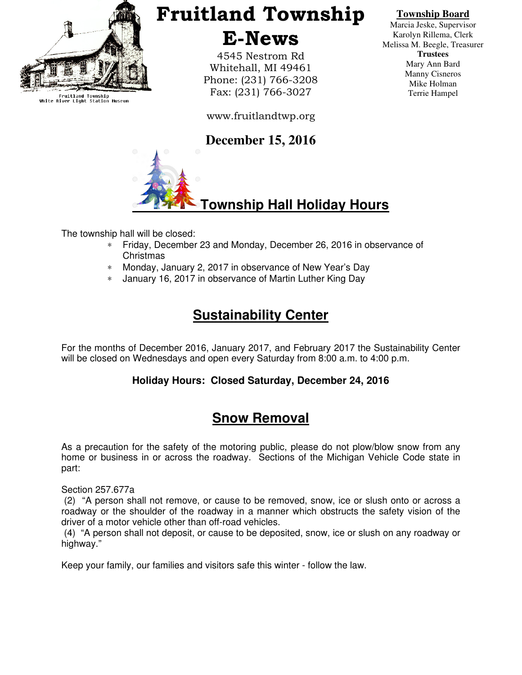

Fruitland Township<br>White River Light Station Museum

# Fruitland Township E-News

4545 Nestrom Rd Whitehall, MI 49461 Phone: (231) 766-3208 Fax: (231) 766-3027

www.fruitlandtwp.org

### **December 15, 2016**



## **Township Hall Holiday Hours**

The township hall will be closed:

- ∗ Friday, December 23 and Monday, December 26, 2016 in observance of Christmas
- ∗ Monday, January 2, 2017 in observance of New Year's Day
- ∗ January 16, 2017 in observance of Martin Luther King Day

## **Sustainability Center**

For the months of December 2016, January 2017, and February 2017 the Sustainability Center will be closed on Wednesdays and open every Saturday from 8:00 a.m. to 4:00 p.m.

#### **Holiday Hours: Closed Saturday, December 24, 2016**

## **Snow Removal**

As a precaution for the safety of the motoring public, please do not plow/blow snow from any home or business in or across the roadway. Sections of the Michigan Vehicle Code state in part:

Section 257.677a

 (2) "A person shall not remove, or cause to be removed, snow, ice or slush onto or across a roadway or the shoulder of the roadway in a manner which obstructs the safety vision of the driver of a motor vehicle other than off-road vehicles.

 (4) "A person shall not deposit, or cause to be deposited, snow, ice or slush on any roadway or highway."

Keep your family, our families and visitors safe this winter - follow the law.

#### **Township Board**

Marcia Jeske, Supervisor Karolyn Rillema, Clerk Melissa M. Beegle, Treasurer **Trustees**  Mary Ann Bard Manny Cisneros Mike Holman Terrie Hampel